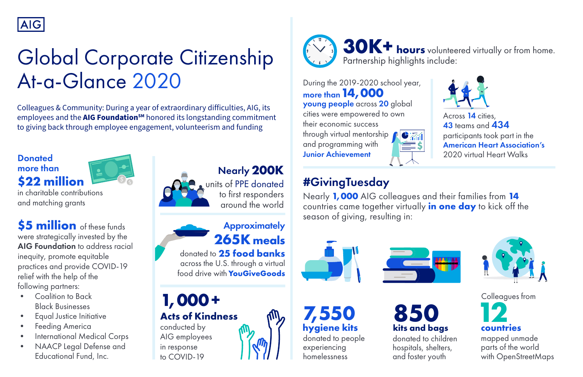to first responders around the world Nearly **200K** units of PPE donated

conducted by AIG employees in response to COVID-19

### **\$22 million Donated** more than



in charitable contributions and matching grants

> donated to people experiencing homelessness **7,550 12 hygiene kits**





Across 14 cities, 43 teams and 434 participants took part in the 2020 virtual Heart Walks *S* American Heart Association's



## **265K meals Approximately**

mapped unmade parts of the world with OpenStreetMaps

# #GivingTuesday

across the U.S. through a virtual food drive with **YouGiveGoods** donated to **25 food banks**

> **countries** Colleagues from

Nearly **1,000** AIG colleagues and their families from **14** countries came together virtually **in one day** to kick off the season of giving, resulting in:





**Acts of Kindness**

**\$5 million** of these funds were strategically invested by the AIG Foundation to address racial inequity, promote equitable practices and provide COVID-19 relief with the help of the following partners:



- Coalition to Back Black Businesses
- Equal Justice Initiative
- **Feeding America**
- International Medical Corps
- NAACP Legal Defense and Educational Fund, Inc.



During the 2019-2020 school year, more than**14,000** young people across 20 global cities were empowered to own their economic success through virtual mentorship and programming with Junior Achievement



**1,000 +**



# Global Corporate Citizenship At-a-Glance 2020

Colleagues & Community: During a year of extraordinary difficulties, AIG, its employees and the **AIG Foundation<sup>sM</sup>** honored its longstanding commitment to giving back through employee engagement, volunteerism and funding